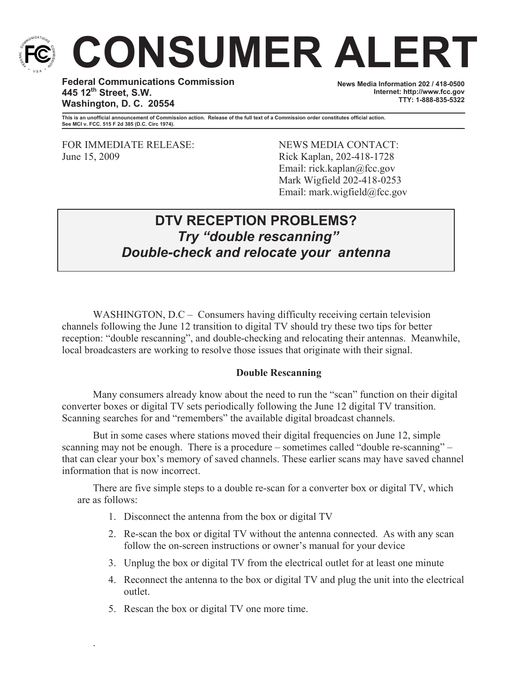

# **CONSUMER ALERT**

**Federal Communications Commission 445 12th Street, S.W. Washington, D. C. 20554**

**News Media Information 202 / 418-0500 Internet: http://www.fcc.gov TTY: 1-888-835-5322**

**This is an unofficial announcement of Commission action. Release of the full text of a Commission order constitutes official action. See MCI v. FCC. 515 F 2d 385 (D.C. Circ 1974).**

FOR IMMEDIATE RELEASE: NEWS MEDIA CONTACT: June 15, 2009 Rick Kaplan, 202-418-1728

Email: rick.kaplan@fcc.gov Mark Wigfield 202-418-0253 Email: mark.wigfield@fcc.gov

# **DTV RECEPTION PROBLEMS?** *Try "double rescanning" Double-check and relocate your antenna*

WASHINGTON, D.C – Consumers having difficulty receiving certain television channels following the June 12 transition to digital TV should try these two tips for better reception: "double rescanning", and double-checking and relocating their antennas. Meanwhile, local broadcasters are working to resolve those issues that originate with their signal.

## **Double Rescanning**

Many consumers already know about the need to run the "scan" function on their digital converter boxes or digital TV sets periodically following the June 12 digital TV transition. Scanning searches for and "remembers" the available digital broadcast channels.

But in some cases where stations moved their digital frequencies on June 12, simple scanning may not be enough. There is a procedure – sometimes called "double re-scanning" – that can clear your box's memory of saved channels. These earlier scans may have saved channel information that is now incorrect.

There are five simple steps to a double re-scan for a converter box or digital TV, which are as follows:

- 1. Disconnect the antenna from the box or digital TV
- 2. Re-scan the box or digital TV without the antenna connected. As with any scan follow the on-screen instructions or owner's manual for your device
- 3. Unplug the box or digital TV from the electrical outlet for at least one minute
- 4. Reconnect the antenna to the box or digital TV and plug the unit into the electrical outlet.
- 5. Rescan the box or digital TV one more time.

.